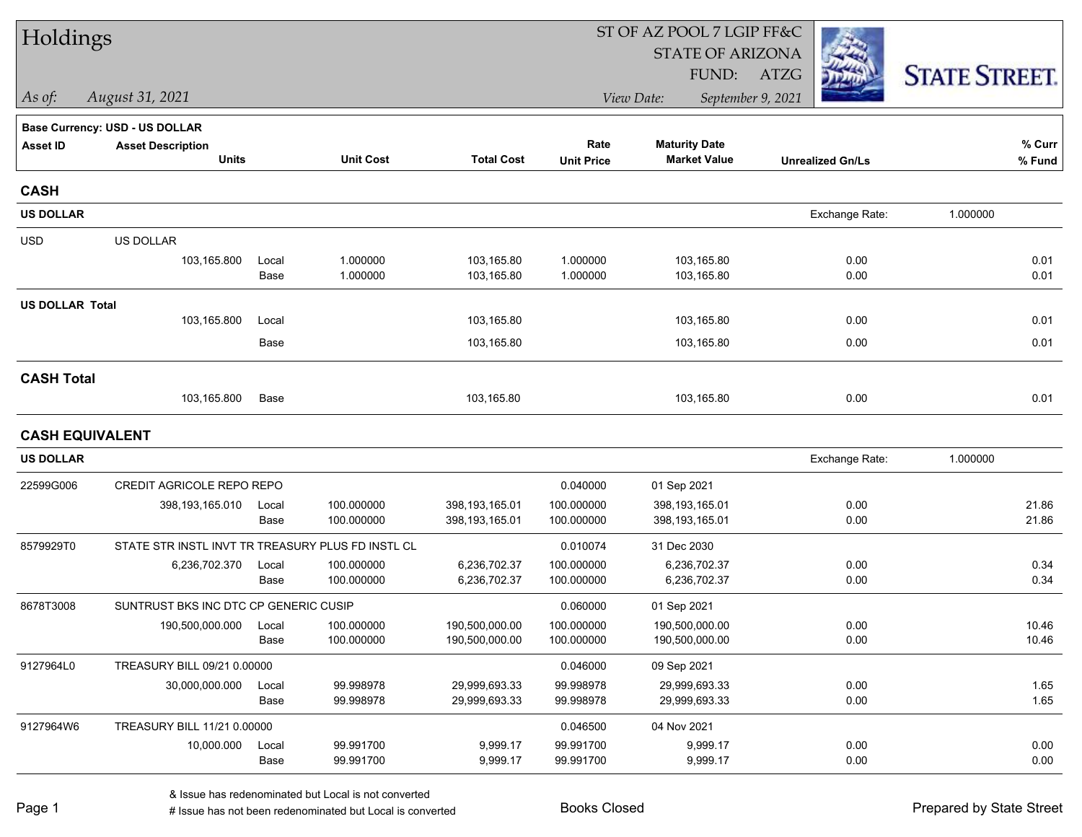| Holdings               |                                                   |       |                  |                   | ST OF AZ POOL 7 LGIP FF&C |                         |                         |                      |  |
|------------------------|---------------------------------------------------|-------|------------------|-------------------|---------------------------|-------------------------|-------------------------|----------------------|--|
|                        |                                                   |       |                  |                   |                           | <b>STATE OF ARIZONA</b> |                         |                      |  |
|                        |                                                   |       |                  |                   |                           | FUND:                   | ATZG                    | <b>STATE STREET.</b> |  |
| As of:                 | August 31, 2021                                   |       |                  |                   |                           | View Date:              | September 9, 2021       |                      |  |
|                        | <b>Base Currency: USD - US DOLLAR</b>             |       |                  |                   |                           |                         |                         |                      |  |
| Asset ID               | <b>Asset Description</b>                          |       |                  |                   | Rate                      | <b>Maturity Date</b>    |                         | % Curr               |  |
|                        | <b>Units</b>                                      |       | <b>Unit Cost</b> | <b>Total Cost</b> | <b>Unit Price</b>         | <b>Market Value</b>     | <b>Unrealized Gn/Ls</b> | % Fund               |  |
| <b>CASH</b>            |                                                   |       |                  |                   |                           |                         |                         |                      |  |
| <b>US DOLLAR</b>       |                                                   |       |                  |                   |                           |                         | Exchange Rate:          | 1.000000             |  |
| <b>USD</b>             | US DOLLAR                                         |       |                  |                   |                           |                         |                         |                      |  |
|                        | 103,165.800                                       | Local | 1.000000         | 103,165.80        | 1.000000                  | 103,165.80              | 0.00                    | 0.01                 |  |
|                        |                                                   | Base  | 1.000000         | 103,165.80        | 1.000000                  | 103,165.80              | 0.00                    | 0.01                 |  |
| <b>US DOLLAR Total</b> |                                                   |       |                  |                   |                           |                         |                         |                      |  |
|                        | 103,165.800                                       | Local |                  | 103,165.80        |                           | 103,165.80              | 0.00                    | 0.01                 |  |
|                        |                                                   | Base  |                  | 103,165.80        |                           | 103,165.80              | 0.00                    | 0.01                 |  |
| <b>CASH Total</b>      |                                                   |       |                  |                   |                           |                         |                         |                      |  |
|                        | 103,165.800                                       | Base  |                  | 103,165.80        |                           | 103,165.80              | 0.00                    | 0.01                 |  |
| <b>CASH EQUIVALENT</b> |                                                   |       |                  |                   |                           |                         |                         |                      |  |
| <b>US DOLLAR</b>       |                                                   |       |                  |                   |                           |                         | Exchange Rate:          | 1.000000             |  |
| 22599G006              | CREDIT AGRICOLE REPO REPO                         |       |                  |                   | 0.040000                  | 01 Sep 2021             |                         |                      |  |
|                        | 398, 193, 165.010                                 | Local | 100.000000       | 398,193,165.01    | 100.000000                | 398,193,165.01          | 0.00                    | 21.86                |  |
|                        |                                                   | Base  | 100.000000       | 398,193,165.01    | 100.000000                | 398,193,165.01          | 0.00                    | 21.86                |  |
| 8579929T0              | STATE STR INSTL INVT TR TREASURY PLUS FD INSTL CL |       |                  |                   | 0.010074                  | 31 Dec 2030             |                         |                      |  |
|                        | 6,236,702.370                                     | Local | 100.000000       | 6,236,702.37      | 100.000000                | 6,236,702.37            | 0.00                    | 0.34                 |  |
|                        |                                                   | Base  | 100.000000       | 6,236,702.37      | 100.000000                | 6,236,702.37            | 0.00                    | 0.34                 |  |
| 8678T3008              | SUNTRUST BKS INC DTC CP GENERIC CUSIP             |       |                  |                   | 0.060000                  | 01 Sep 2021             |                         |                      |  |
|                        | 190,500,000.000                                   | Local | 100.000000       | 190,500,000.00    | 100.000000                | 190,500,000.00          | 0.00                    | 10.46                |  |
|                        |                                                   | Base  | 100.000000       | 190,500,000.00    | 100.000000                | 190,500,000.00          | 0.00                    | 10.46                |  |
| 9127964L0              | TREASURY BILL 09/21 0.00000                       |       |                  |                   | 0.046000                  | 09 Sep 2021             |                         |                      |  |
|                        | 30,000,000.000                                    | Local | 99.998978        | 29,999,693.33     | 99.998978                 | 29,999,693.33           | 0.00                    | 1.65                 |  |
|                        |                                                   | Base  | 99.998978        | 29,999,693.33     | 99.998978                 | 29,999,693.33           | 0.00                    | 1.65                 |  |
| 9127964W6              | TREASURY BILL 11/21 0.00000                       |       |                  |                   | 0.046500                  | 04 Nov 2021             |                         |                      |  |
|                        | 10,000.000                                        | Local | 99.991700        | 9,999.17          | 99.991700                 | 9,999.17                | 0.00                    | 0.00                 |  |
|                        |                                                   | Base  | 99.991700        | 9,999.17          | 99.991700                 | 9,999.17                | 0.00                    | 0.00                 |  |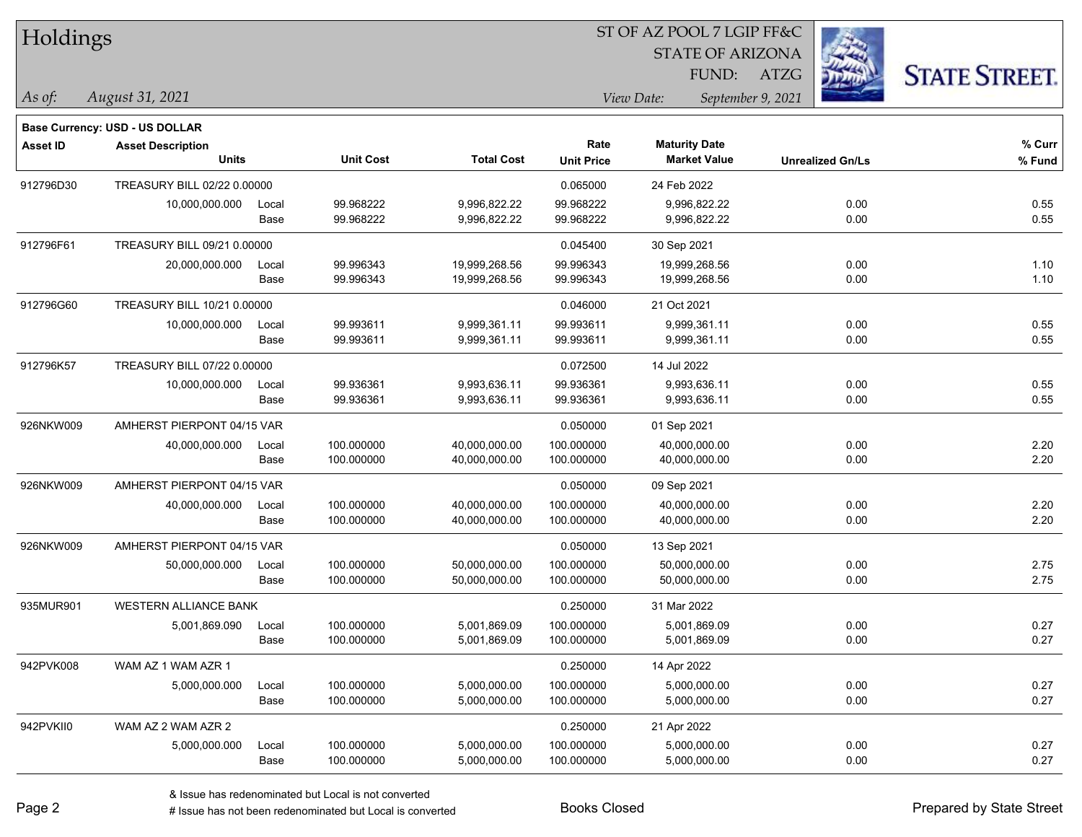| Holdings        |                                          |                            |                          |                                |                           | ST OF AZ POOL 7 LGIP FF&C                   |                         |                      |
|-----------------|------------------------------------------|----------------------------|--------------------------|--------------------------------|---------------------------|---------------------------------------------|-------------------------|----------------------|
|                 |                                          |                            |                          |                                |                           | <b>STATE OF ARIZONA</b><br>FUND:            | ATZG                    | <b>STATE STREET.</b> |
| As of:          | August 31, 2021                          |                            |                          |                                |                           | View Date:                                  | September 9, 2021       |                      |
|                 | Base Currency: USD - US DOLLAR           |                            |                          |                                |                           |                                             |                         |                      |
| <b>Asset ID</b> | <b>Asset Description</b><br><b>Units</b> |                            | <b>Unit Cost</b>         | <b>Total Cost</b>              | Rate<br><b>Unit Price</b> | <b>Maturity Date</b><br><b>Market Value</b> | <b>Unrealized Gn/Ls</b> | % Curr<br>% Fund     |
| 912796D30       | TREASURY BILL 02/22 0.00000              |                            |                          |                                | 0.065000                  | 24 Feb 2022                                 |                         |                      |
|                 | 10,000,000.000                           | Local<br>Base              | 99.968222<br>99.968222   | 9,996,822.22<br>9,996,822.22   | 99.968222<br>99.968222    | 9,996,822.22<br>9,996,822.22                | 0.00<br>0.00            | 0.55<br>0.55         |
| 912796F61       | TREASURY BILL 09/21 0.00000              |                            |                          |                                | 0.045400                  | 30 Sep 2021                                 |                         |                      |
|                 | 20,000,000.000                           | Local<br>Base              | 99.996343<br>99.996343   | 19,999,268.56<br>19,999,268.56 | 99.996343<br>99.996343    | 19,999,268.56<br>19,999,268.56              | 0.00<br>0.00            | 1.10<br>1.10         |
| 912796G60       | TREASURY BILL 10/21 0.00000              |                            |                          |                                | 0.046000                  | 21 Oct 2021                                 |                         |                      |
|                 | 10,000,000.000                           | Local<br>Base              | 99.993611<br>99.993611   | 9,999,361.11<br>9,999,361.11   | 99.993611<br>99.993611    | 9,999,361.11<br>9,999,361.11                | 0.00<br>0.00            | 0.55<br>0.55         |
| 912796K57       | TREASURY BILL 07/22 0.00000              |                            |                          |                                | 0.072500                  | 14 Jul 2022                                 |                         |                      |
|                 | 10,000,000.000                           | Local<br>Base              | 99.936361<br>99.936361   | 9,993,636.11<br>9,993,636.11   | 99.936361<br>99.936361    | 9,993,636.11<br>9,993,636.11                | 0.00<br>0.00            | 0.55<br>0.55         |
| 926NKW009       | AMHERST PIERPONT 04/15 VAR               |                            |                          |                                | 0.050000                  | 01 Sep 2021                                 |                         |                      |
|                 | 40,000,000.000                           | Local<br>Base              | 100.000000<br>100.000000 | 40,000,000.00<br>40,000,000.00 | 100.000000<br>100.000000  | 40,000,000.00<br>40,000,000.00              | 0.00<br>0.00            | 2.20<br>2.20         |
| 926NKW009       |                                          | AMHERST PIERPONT 04/15 VAR |                          |                                | 0.050000                  | 09 Sep 2021                                 |                         |                      |
|                 | 40,000,000.000                           | Local<br>Base              | 100.000000<br>100.000000 | 40,000,000.00<br>40,000,000.00 | 100.000000<br>100.000000  | 40,000,000.00<br>40,000,000.00              | 0.00<br>0.00            | 2.20<br>2.20         |
| 926NKW009       | AMHERST PIERPONT 04/15 VAR               |                            |                          |                                | 0.050000                  | 13 Sep 2021                                 |                         |                      |
|                 | 50,000,000.000                           | Local<br>Base              | 100.000000<br>100.000000 | 50,000,000.00<br>50,000,000.00 | 100.000000<br>100.000000  | 50,000,000.00<br>50,000,000.00              | 0.00<br>0.00            | 2.75<br>2.75         |
| 935MUR901       | <b>WESTERN ALLIANCE BANK</b>             |                            |                          |                                | 0.250000                  | 31 Mar 2022                                 |                         |                      |
|                 | 5,001,869.090                            | Local<br>Base              | 100.000000<br>100.000000 | 5,001,869.09<br>5,001,869.09   | 100.000000<br>100.000000  | 5,001,869.09<br>5,001,869.09                | 0.00<br>0.00            | 0.27<br>0.27         |
| 942PVK008       | WAM AZ 1 WAM AZR 1                       |                            |                          |                                | 0.250000                  | 14 Apr 2022                                 |                         |                      |
|                 | 5,000,000.000                            | Local<br>Base              | 100.000000<br>100.000000 | 5,000,000.00<br>5,000,000.00   | 100.000000<br>100.000000  | 5,000,000.00<br>5,000,000.00                | 0.00<br>0.00            | 0.27<br>0.27         |
| 942PVKII0       | WAM AZ 2 WAM AZR 2                       |                            |                          |                                | 0.250000                  | 21 Apr 2022                                 |                         |                      |
|                 | 5,000,000.000                            | Local<br>Base              | 100.000000<br>100.000000 | 5,000,000.00<br>5,000,000.00   | 100.000000<br>100.000000  | 5,000,000.00<br>5,000,000.00                | 0.00<br>0.00            | 0.27<br>0.27         |

 $\overline{\phantom{a}}$ 

 $\overline{\phantom{0}}$ 

 $\overline{\phantom{a}}$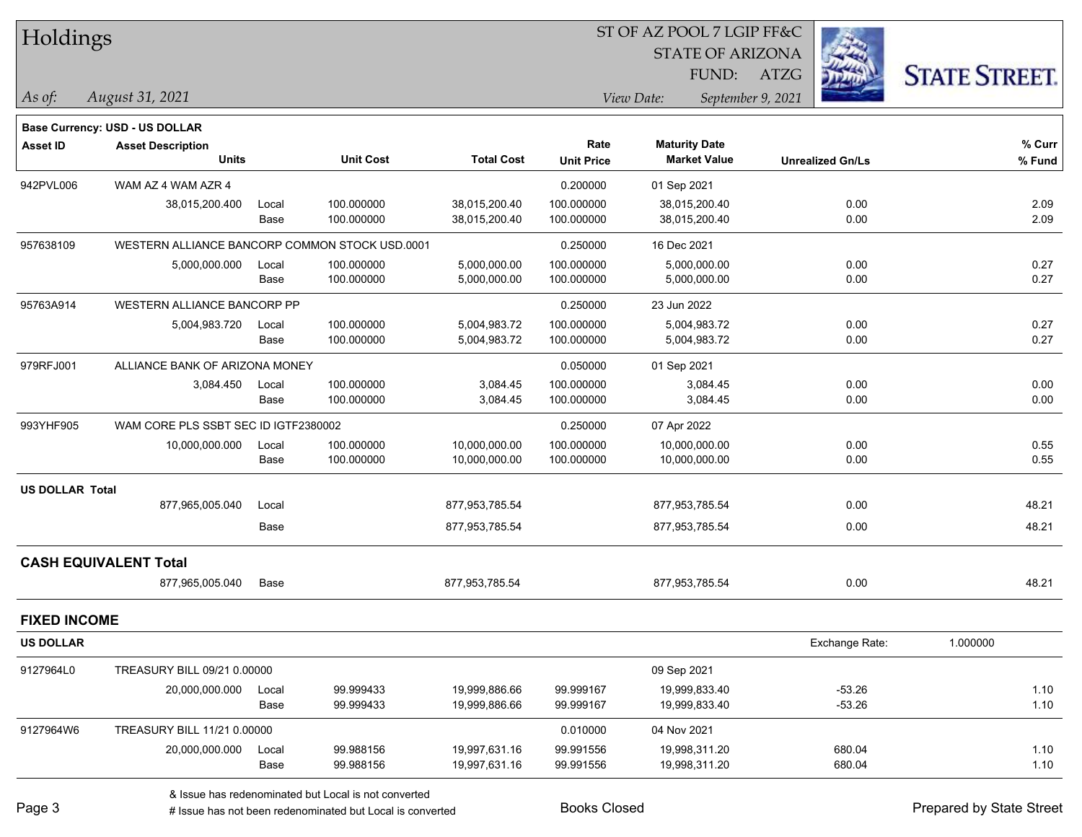| Holdings               |                                                |       |                  |                   |                   | 51 OF AZ POOL 7 LGIP FF&C |                         |                      |
|------------------------|------------------------------------------------|-------|------------------|-------------------|-------------------|---------------------------|-------------------------|----------------------|
|                        |                                                |       |                  |                   |                   | <b>STATE OF ARIZONA</b>   | <b>REA</b>              |                      |
|                        |                                                |       |                  |                   |                   | FUND:                     | ATZG                    | <b>STATE STREET.</b> |
| As of:                 | August 31, 2021                                |       |                  |                   |                   | View Date:                | September 9, 2021       |                      |
|                        | <b>Base Currency: USD - US DOLLAR</b>          |       |                  |                   |                   |                           |                         |                      |
| Asset ID               | <b>Asset Description</b>                       |       |                  |                   | Rate              | <b>Maturity Date</b>      |                         | % Curr               |
|                        | <b>Units</b>                                   |       | <b>Unit Cost</b> | <b>Total Cost</b> | <b>Unit Price</b> | <b>Market Value</b>       | <b>Unrealized Gn/Ls</b> | $%$ Fund             |
| 942PVL006              | WAM AZ 4 WAM AZR 4                             |       |                  |                   | 0.200000          | 01 Sep 2021               |                         |                      |
|                        | 38,015,200.400                                 | Local | 100.000000       | 38,015,200.40     | 100.000000        | 38,015,200.40             | 0.00                    | 2.09                 |
|                        |                                                | Base  | 100.000000       | 38,015,200.40     | 100.000000        | 38,015,200.40             | 0.00                    | 2.09                 |
| 957638109              | WESTERN ALLIANCE BANCORP COMMON STOCK USD.0001 |       |                  |                   | 0.250000          | 16 Dec 2021               |                         |                      |
|                        | 5,000,000.000                                  | Local | 100.000000       | 5,000,000.00      | 100.000000        | 5,000,000.00              | 0.00                    | 0.27                 |
|                        |                                                | Base  | 100.000000       | 5,000,000.00      | 100.000000        | 5,000,000.00              | 0.00                    | 0.27                 |
| 95763A914              | <b>WESTERN ALLIANCE BANCORP PP</b>             |       |                  |                   | 0.250000          | 23 Jun 2022               |                         |                      |
|                        | 5,004,983.720                                  | Local | 100.000000       | 5,004,983.72      | 100.000000        | 5,004,983.72              | 0.00                    | 0.27                 |
|                        |                                                | Base  | 100.000000       | 5,004,983.72      | 100.000000        | 5,004,983.72              | 0.00                    | 0.27                 |
| 979RFJ001              | ALLIANCE BANK OF ARIZONA MONEY                 |       |                  |                   | 0.050000          | 01 Sep 2021               |                         |                      |
|                        | 3,084.450                                      | Local | 100.000000       | 3,084.45          | 100.000000        | 3,084.45                  | 0.00                    | 0.00                 |
|                        |                                                | Base  | 100.000000       | 3,084.45          | 100.000000        | 3,084.45                  | 0.00                    | 0.00                 |
| 993YHF905              | WAM CORE PLS SSBT SEC ID IGTF2380002           |       |                  |                   | 0.250000          | 07 Apr 2022               |                         |                      |
|                        | 10,000,000.000                                 | Local | 100.000000       | 10,000,000.00     | 100.000000        | 10,000,000.00             | 0.00                    | 0.55                 |
|                        |                                                | Base  | 100.000000       | 10,000,000.00     | 100.000000        | 10,000,000.00             | 0.00                    | 0.55                 |
| <b>US DOLLAR Total</b> |                                                |       |                  |                   |                   |                           |                         |                      |
|                        | 877,965,005.040                                | Local |                  | 877,953,785.54    |                   | 877,953,785.54            | 0.00                    | 48.21                |
|                        |                                                | Base  |                  | 877,953,785.54    |                   | 877,953,785.54            | 0.00                    | 48.21                |
|                        | <b>CASH EQUIVALENT Total</b>                   |       |                  |                   |                   |                           |                         |                      |
|                        | 877,965,005.040                                | Base  |                  | 877,953,785.54    |                   | 877,953,785.54            | 0.00                    | 48.21                |
| <b>FIXED INCOME</b>    |                                                |       |                  |                   |                   |                           |                         |                      |
| <b>US DOLLAR</b>       |                                                |       |                  |                   |                   |                           | Exchange Rate:          | 1.000000             |
| 9127964L0              | TREASURY BILL 09/21 0.00000                    |       |                  |                   |                   | 09 Sep 2021               |                         |                      |
|                        | 20,000,000.000                                 | Local | 99.999433        | 19,999,886.66     | 99.999167         | 19,999,833.40             | $-53.26$                | 1.10                 |
|                        |                                                | Base  | 99.999433        | 19,999,886.66     | 99.999167         | 19,999,833.40             | $-53.26$                | 1.10                 |
| 9127964W6              | TREASURY BILL 11/21 0.00000                    |       |                  |                   | 0.010000          | 04 Nov 2021               |                         |                      |
|                        | 20,000,000.000                                 | Local | 99.988156        | 19,997,631.16     | 99.991556         | 19,998,311.20             | 680.04                  | 1.10                 |
|                        |                                                | Base  | 99.988156        | 19,997,631.16     | 99.991556         | 19,998,311.20             | 680.04                  | 1.10                 |
|                        |                                                |       |                  |                   |                   |                           |                         |                      |

 $\overline{S}$   $\overline{S}$   $\overline{S}$   $\overline{S}$   $\overline{S}$   $\overline{S}$   $\overline{S}$   $\overline{S}$   $\overline{S}$   $\overline{S}$   $\overline{S}$   $\overline{S}$   $\overline{S}$   $\overline{S}$   $\overline{S}$   $\overline{S}$   $\overline{S}$   $\overline{S}$   $\overline{S}$   $\overline{S}$   $\overline{S}$   $\overline{S}$   $\overline{S}$   $\overline{S}$   $\overline{$ 

# Issue has not been redenominated but Local is converted Books Closed Prepared by State Street

٦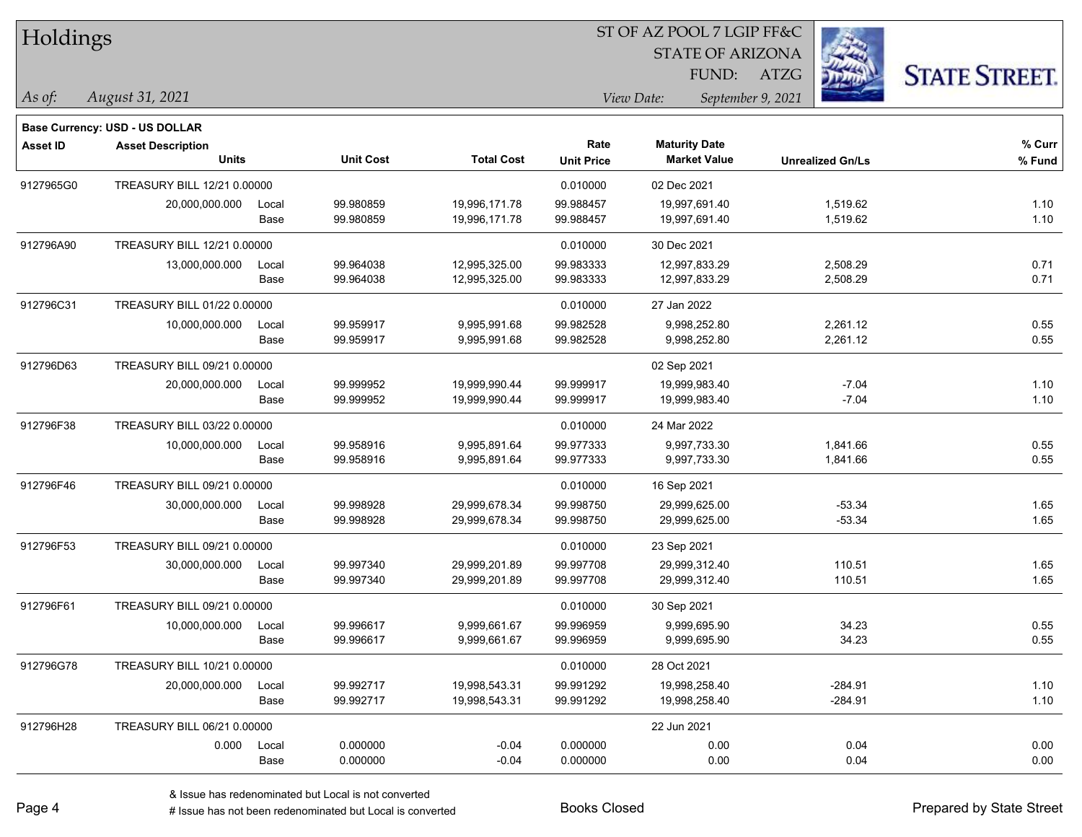| Holdings        |                                |       |                  |                   |                   | ST OF AZ POOL 7 LGIP FF&C       |                         |                      |
|-----------------|--------------------------------|-------|------------------|-------------------|-------------------|---------------------------------|-------------------------|----------------------|
|                 |                                |       |                  |                   |                   | <b>STATE OF ARIZONA</b>         |                         |                      |
|                 |                                |       |                  |                   |                   | FUND:                           | <b>ATZG</b>             | <b>STATE STREET.</b> |
| As of:          | August 31, 2021                |       |                  |                   |                   | View Date:<br>September 9, 2021 |                         |                      |
|                 | Base Currency: USD - US DOLLAR |       |                  |                   |                   |                                 |                         |                      |
| <b>Asset ID</b> | <b>Asset Description</b>       |       |                  |                   | Rate              | <b>Maturity Date</b>            |                         | % Curr               |
|                 | <b>Units</b>                   |       | <b>Unit Cost</b> | <b>Total Cost</b> | <b>Unit Price</b> | <b>Market Value</b>             | <b>Unrealized Gn/Ls</b> | % Fund               |
| 9127965G0       | TREASURY BILL 12/21 0.00000    |       |                  |                   | 0.010000          | 02 Dec 2021                     |                         |                      |
|                 | 20,000,000.000                 | Local | 99.980859        | 19,996,171.78     | 99.988457         | 19,997,691.40                   | 1,519.62                | 1.10                 |
|                 |                                | Base  | 99.980859        | 19,996,171.78     | 99.988457         | 19,997,691.40                   | 1,519.62                | 1.10                 |
| 912796A90       | TREASURY BILL 12/21 0.00000    |       |                  |                   | 0.010000          | 30 Dec 2021                     |                         |                      |
|                 | 13,000,000.000                 | Local | 99.964038        | 12,995,325.00     | 99.983333         | 12,997,833.29                   | 2,508.29                | 0.71                 |
|                 |                                | Base  | 99.964038        | 12,995,325.00     | 99.983333         | 12,997,833.29                   | 2,508.29                | 0.71                 |
| 912796C31       | TREASURY BILL 01/22 0.00000    |       |                  |                   | 0.010000          | 27 Jan 2022                     |                         |                      |
|                 | 10,000,000.000                 | Local | 99.959917        | 9,995,991.68      | 99.982528         | 9,998,252.80                    | 2,261.12                | 0.55                 |
|                 |                                | Base  | 99.959917        | 9,995,991.68      | 99.982528         | 9,998,252.80                    | 2,261.12                | 0.55                 |
| 912796D63       | TREASURY BILL 09/21 0.00000    |       |                  |                   |                   | 02 Sep 2021                     |                         |                      |
|                 | 20,000,000.000                 | Local | 99.999952        | 19,999,990.44     | 99.999917         | 19,999,983.40                   | $-7.04$                 | 1.10                 |
|                 |                                | Base  | 99.999952        | 19,999,990.44     | 99.999917         | 19,999,983.40                   | $-7.04$                 | 1.10                 |
| 912796F38       | TREASURY BILL 03/22 0.00000    |       |                  |                   | 0.010000          | 24 Mar 2022                     |                         |                      |
|                 | 10,000,000.000                 | Local | 99.958916        | 9,995,891.64      | 99.977333         | 9,997,733.30                    | 1,841.66                | 0.55                 |
|                 |                                | Base  | 99.958916        | 9,995,891.64      | 99.977333         | 9,997,733.30                    | 1,841.66                | 0.55                 |
| 912796F46       | TREASURY BILL 09/21 0.00000    |       |                  |                   | 0.010000          | 16 Sep 2021                     |                         |                      |
|                 | 30,000,000.000                 | Local | 99.998928        | 29,999,678.34     | 99.998750         | 29,999,625.00                   | $-53.34$                | 1.65                 |
|                 |                                | Base  | 99.998928        | 29,999,678.34     | 99.998750         | 29,999,625.00                   | $-53.34$                | 1.65                 |
| 912796F53       | TREASURY BILL 09/21 0.00000    |       |                  |                   | 0.010000          | 23 Sep 2021                     |                         |                      |
|                 | 30,000,000.000                 | Local | 99.997340        | 29,999,201.89     | 99.997708         | 29,999,312.40                   | 110.51                  | 1.65                 |
|                 |                                | Base  | 99.997340        | 29,999,201.89     | 99.997708         | 29,999,312.40                   | 110.51                  | 1.65                 |
| 912796F61       | TREASURY BILL 09/21 0.00000    |       |                  |                   | 0.010000          | 30 Sep 2021                     |                         |                      |
|                 | 10,000,000.000                 | Local | 99.996617        | 9,999,661.67      | 99.996959         | 9,999,695.90                    | 34.23                   | 0.55                 |
|                 |                                | Base  | 99.996617        | 9,999,661.67      | 99.996959         | 9,999,695.90                    | 34.23                   | 0.55                 |
| 912796G78       | TREASURY BILL 10/21 0.00000    |       |                  |                   | 0.010000          | 28 Oct 2021                     |                         |                      |
|                 | 20,000,000.000                 | Local | 99.992717        | 19,998,543.31     | 99.991292         | 19,998,258.40                   | $-284.91$               | 1.10                 |
|                 |                                | Base  | 99.992717        | 19,998,543.31     | 99.991292         | 19,998,258.40                   | $-284.91$               | 1.10                 |
| 912796H28       | TREASURY BILL 06/21 0.00000    |       |                  |                   |                   | 22 Jun 2021                     |                         |                      |
|                 | 0.000                          | Local | 0.000000         | $-0.04$           | 0.000000          | 0.00                            | 0.04                    | 0.00                 |
|                 |                                | Base  | 0.000000         | $-0.04$           | 0.000000          | 0.00                            | 0.04                    | 0.00                 |

 $\overline{\phantom{0}}$ 

 $\overline{\phantom{a}}$ 

 $\overline{\phantom{0}}$ 

 $\overline{\phantom{a}}$ 

 $\overline{\phantom{a}}$ 

 $\overline{\phantom{0}}$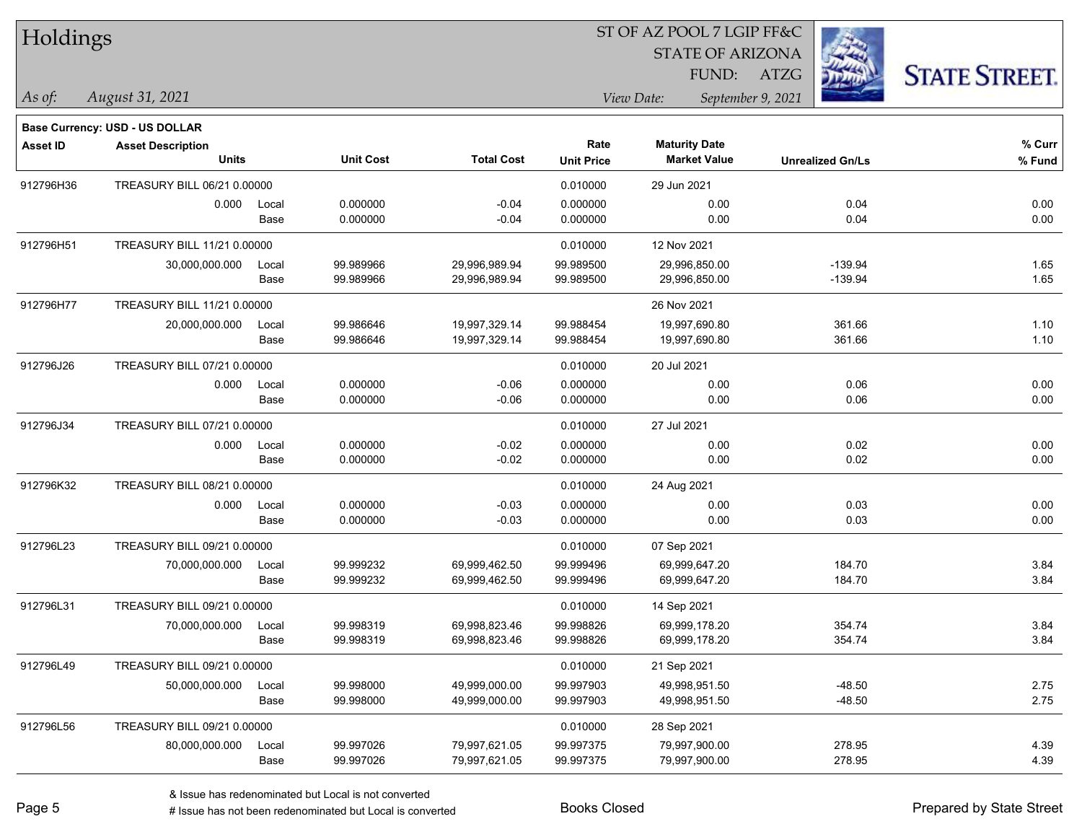| Holdings        |                                          |               |                        |                                |                           | ST OF AZ POOL 7 LGIP FF&C<br><b>STATE OF ARIZONA</b><br>FUND: | <b>STATE STREET.</b>    |                  |
|-----------------|------------------------------------------|---------------|------------------------|--------------------------------|---------------------------|---------------------------------------------------------------|-------------------------|------------------|
| $\vert$ As of:  | August 31, 2021                          |               |                        |                                |                           | View Date:                                                    | September 9, 2021       |                  |
|                 | <b>Base Currency: USD - US DOLLAR</b>    |               |                        |                                |                           |                                                               |                         |                  |
| <b>Asset ID</b> | <b>Asset Description</b><br><b>Units</b> |               | <b>Unit Cost</b>       | <b>Total Cost</b>              | Rate<br><b>Unit Price</b> | <b>Maturity Date</b><br><b>Market Value</b>                   | <b>Unrealized Gn/Ls</b> | % Curr<br>% Fund |
| 912796H36       | TREASURY BILL 06/21 0.00000              |               |                        |                                | 0.010000                  | 29 Jun 2021                                                   |                         |                  |
|                 | 0.000                                    | Local<br>Base | 0.000000<br>0.000000   | $-0.04$<br>$-0.04$             | 0.000000<br>0.000000      | 0.00<br>0.00                                                  | 0.04<br>0.04            | 0.00<br>0.00     |
| 912796H51       | TREASURY BILL 11/21 0.00000              |               |                        |                                | 0.010000                  | 12 Nov 2021                                                   |                         |                  |
|                 | 30,000,000.000                           | Local<br>Base | 99.989966<br>99.989966 | 29,996,989.94<br>29,996,989.94 | 99.989500<br>99.989500    | 29,996,850.00<br>29,996,850.00                                | $-139.94$<br>$-139.94$  | 1.65<br>1.65     |
| 912796H77       | TREASURY BILL 11/21 0.00000              |               |                        |                                |                           | 26 Nov 2021                                                   |                         |                  |
|                 | 20,000,000.000                           | Local<br>Base | 99.986646<br>99.986646 | 19,997,329.14<br>19,997,329.14 | 99.988454<br>99.988454    | 19,997,690.80<br>19,997,690.80                                | 361.66<br>361.66        | 1.10<br>1.10     |
| 912796J26       | TREASURY BILL 07/21 0.00000              |               |                        |                                | 0.010000                  | 20 Jul 2021                                                   |                         |                  |
|                 | 0.000                                    | Local<br>Base | 0.000000<br>0.000000   | $-0.06$<br>$-0.06$             | 0.000000<br>0.000000      | 0.00<br>0.00                                                  | 0.06<br>0.06            | 0.00<br>0.00     |
| 912796J34       | TREASURY BILL 07/21 0.00000              |               |                        |                                | 0.010000                  | 27 Jul 2021                                                   |                         |                  |
|                 | 0.000                                    | Local<br>Base | 0.000000<br>0.000000   | $-0.02$<br>$-0.02$             | 0.000000<br>0.000000      | 0.00<br>0.00                                                  | 0.02<br>0.02            | 0.00<br>0.00     |
| 912796K32       | TREASURY BILL 08/21 0.00000              |               |                        |                                | 0.010000                  | 24 Aug 2021                                                   |                         |                  |
|                 | 0.000                                    | Local<br>Base | 0.000000<br>0.000000   | $-0.03$<br>$-0.03$             | 0.000000<br>0.000000      | 0.00<br>0.00                                                  | 0.03<br>0.03            | 0.00<br>0.00     |
| 912796L23       | TREASURY BILL 09/21 0.00000              |               |                        |                                | 0.010000                  | 07 Sep 2021                                                   |                         |                  |
|                 | 70,000,000.000                           | Local<br>Base | 99.999232<br>99.999232 | 69,999,462.50<br>69,999,462.50 | 99.999496<br>99.999496    | 69,999,647.20<br>69,999,647.20                                | 184.70<br>184.70        | 3.84<br>3.84     |
| 912796L31       | TREASURY BILL 09/21 0.00000              |               |                        |                                | 0.010000                  | 14 Sep 2021                                                   |                         |                  |
|                 | 70,000,000.000                           | Local<br>Base | 99.998319<br>99.998319 | 69.998.823.46<br>69,998,823.46 | 99.998826<br>99.998826    | 69,999,178.20<br>69,999,178.20                                | 354.74<br>354.74        | 3.84<br>3.84     |
| 912796L49       | TREASURY BILL 09/21 0.00000              |               |                        |                                | 0.010000                  | 21 Sep 2021                                                   |                         |                  |
|                 | 50,000,000.000                           | Local<br>Base | 99.998000<br>99.998000 | 49,999,000.00<br>49,999,000.00 | 99.997903<br>99.997903    | 49,998,951.50<br>49,998,951.50                                | $-48.50$<br>$-48.50$    | 2.75<br>2.75     |
| 912796L56       | TREASURY BILL 09/21 0.00000              |               |                        |                                | 0.010000                  | 28 Sep 2021                                                   |                         |                  |
|                 | 80,000,000.000                           | Local<br>Base | 99.997026<br>99.997026 | 79,997,621.05<br>79,997,621.05 | 99.997375<br>99.997375    | 79,997,900.00<br>79,997,900.00                                | 278.95<br>278.95        | 4.39<br>4.39     |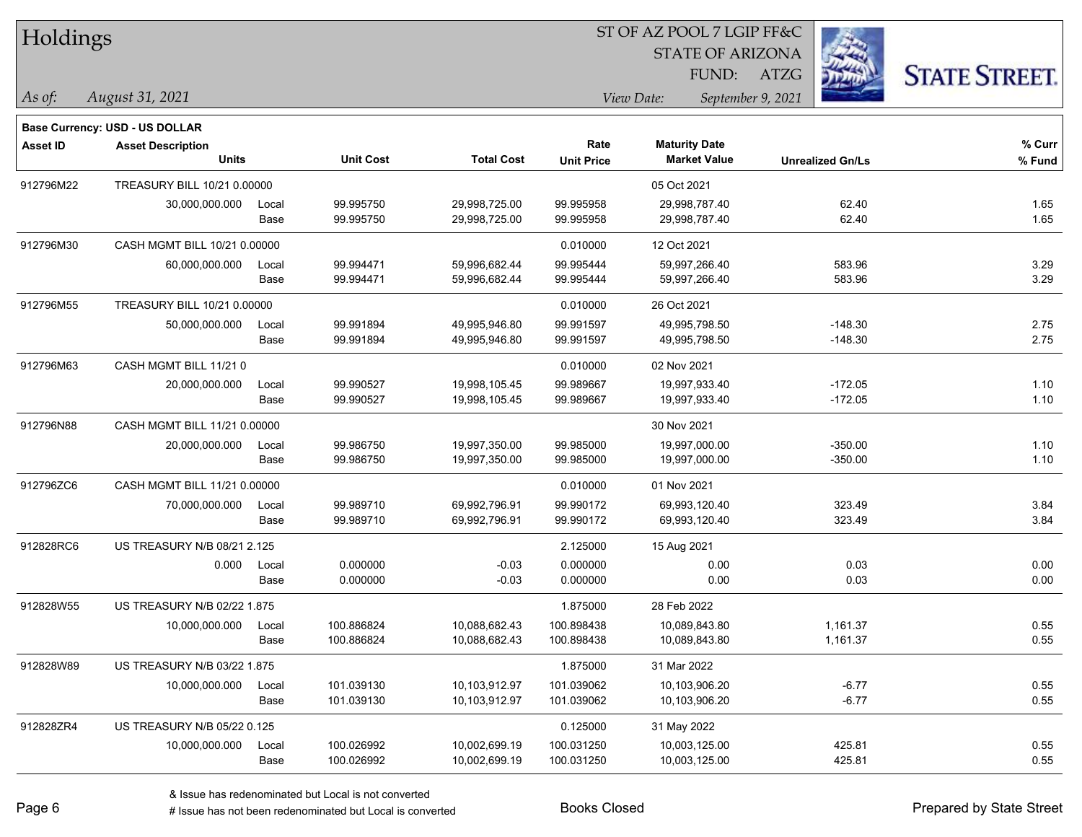| Holdings |
|----------|
|----------|

#### ST OF AZ POOL 7 LGIP FF&C

STATE OF ARIZONA

FUND: ATZG



*As of: View Date: September 9, 2021*

| As of: | August 31, 2021 |  |
|--------|-----------------|--|
|        |                 |  |

|                 | <b>Base Currency: USD - US DOLLAR</b> |       |                  |                   |                   |                      |                         |        |
|-----------------|---------------------------------------|-------|------------------|-------------------|-------------------|----------------------|-------------------------|--------|
| <b>Asset ID</b> | <b>Asset Description</b>              |       |                  |                   | Rate              | <b>Maturity Date</b> |                         | % Curr |
|                 | <b>Units</b>                          |       | <b>Unit Cost</b> | <b>Total Cost</b> | <b>Unit Price</b> | <b>Market Value</b>  | <b>Unrealized Gn/Ls</b> | % Fund |
| 912796M22       | TREASURY BILL 10/21 0.00000           |       |                  |                   |                   | 05 Oct 2021          |                         |        |
|                 | 30,000,000.000                        | Local | 99.995750        | 29,998,725.00     | 99.995958         | 29,998,787.40        | 62.40                   | 1.65   |
|                 |                                       | Base  | 99.995750        | 29,998,725.00     | 99.995958         | 29,998,787.40        | 62.40                   | 1.65   |
| 912796M30       | CASH MGMT BILL 10/21 0.00000          |       |                  |                   | 0.010000          | 12 Oct 2021          |                         |        |
|                 | 60,000,000.000                        | Local | 99.994471        | 59,996,682.44     | 99.995444         | 59,997,266.40        | 583.96                  | 3.29   |
|                 |                                       | Base  | 99.994471        | 59,996,682.44     | 99.995444         | 59,997,266.40        | 583.96                  | 3.29   |
| 912796M55       | TREASURY BILL 10/21 0.00000           |       |                  |                   | 0.010000          | 26 Oct 2021          |                         |        |
|                 | 50,000,000.000                        | Local | 99.991894        | 49,995,946.80     | 99.991597         | 49,995,798.50        | $-148.30$               | 2.75   |
|                 |                                       | Base  | 99.991894        | 49,995,946.80     | 99.991597         | 49,995,798.50        | $-148.30$               | 2.75   |
| 912796M63       | CASH MGMT BILL 11/210                 |       |                  |                   | 0.010000          | 02 Nov 2021          |                         |        |
|                 | 20,000,000.000                        | Local | 99.990527        | 19,998,105.45     | 99.989667         | 19,997,933.40        | $-172.05$               | 1.10   |
|                 |                                       | Base  | 99.990527        | 19,998,105.45     | 99.989667         | 19,997,933.40        | $-172.05$               | 1.10   |
| 912796N88       | CASH MGMT BILL 11/21 0.00000          |       |                  |                   |                   | 30 Nov 2021          |                         |        |
|                 | 20,000,000.000                        | Local | 99.986750        | 19,997,350.00     | 99.985000         | 19,997,000.00        | $-350.00$               | 1.10   |
|                 |                                       | Base  | 99.986750        | 19,997,350.00     | 99.985000         | 19,997,000.00        | $-350.00$               | 1.10   |
| 912796ZC6       | CASH MGMT BILL 11/21 0.00000          |       |                  |                   | 0.010000          | 01 Nov 2021          |                         |        |
|                 | 70,000,000.000                        | Local | 99.989710        | 69,992,796.91     | 99.990172         | 69,993,120.40        | 323.49                  | 3.84   |
|                 |                                       | Base  | 99.989710        | 69,992,796.91     | 99.990172         | 69,993,120.40        | 323.49                  | 3.84   |
| 912828RC6       | US TREASURY N/B 08/21 2.125           |       |                  |                   | 2.125000          | 15 Aug 2021          |                         |        |
|                 | 0.000                                 | Local | 0.000000         | $-0.03$           | 0.000000          | 0.00                 | 0.03                    | 0.00   |
|                 |                                       | Base  | 0.000000         | $-0.03$           | 0.000000          | 0.00                 | 0.03                    | 0.00   |
| 912828W55       | US TREASURY N/B 02/22 1.875           |       |                  |                   | 1.875000          | 28 Feb 2022          |                         |        |
|                 | 10,000,000.000                        | Local | 100.886824       | 10,088,682.43     | 100.898438        | 10,089,843.80        | 1,161.37                | 0.55   |
|                 |                                       | Base  | 100.886824       | 10,088,682.43     | 100.898438        | 10,089,843.80        | 1,161.37                | 0.55   |
| 912828W89       | US TREASURY N/B 03/22 1.875           |       |                  |                   | 1.875000          | 31 Mar 2022          |                         |        |
|                 | 10,000,000.000                        | Local | 101.039130       | 10,103,912.97     | 101.039062        | 10,103,906.20        | $-6.77$                 | 0.55   |
|                 |                                       | Base  | 101.039130       | 10,103,912.97     | 101.039062        | 10,103,906.20        | $-6.77$                 | 0.55   |
| 912828ZR4       | US TREASURY N/B 05/22 0.125           |       |                  |                   | 0.125000          | 31 May 2022          |                         |        |
|                 | 10,000,000.000                        | Local | 100.026992       | 10,002,699.19     | 100.031250        | 10,003,125.00        | 425.81                  | 0.55   |
|                 |                                       | Base  | 100.026992       | 10,002,699.19     | 100.031250        | 10,003,125.00        | 425.81                  | 0.55   |
|                 |                                       |       |                  |                   |                   |                      |                         |        |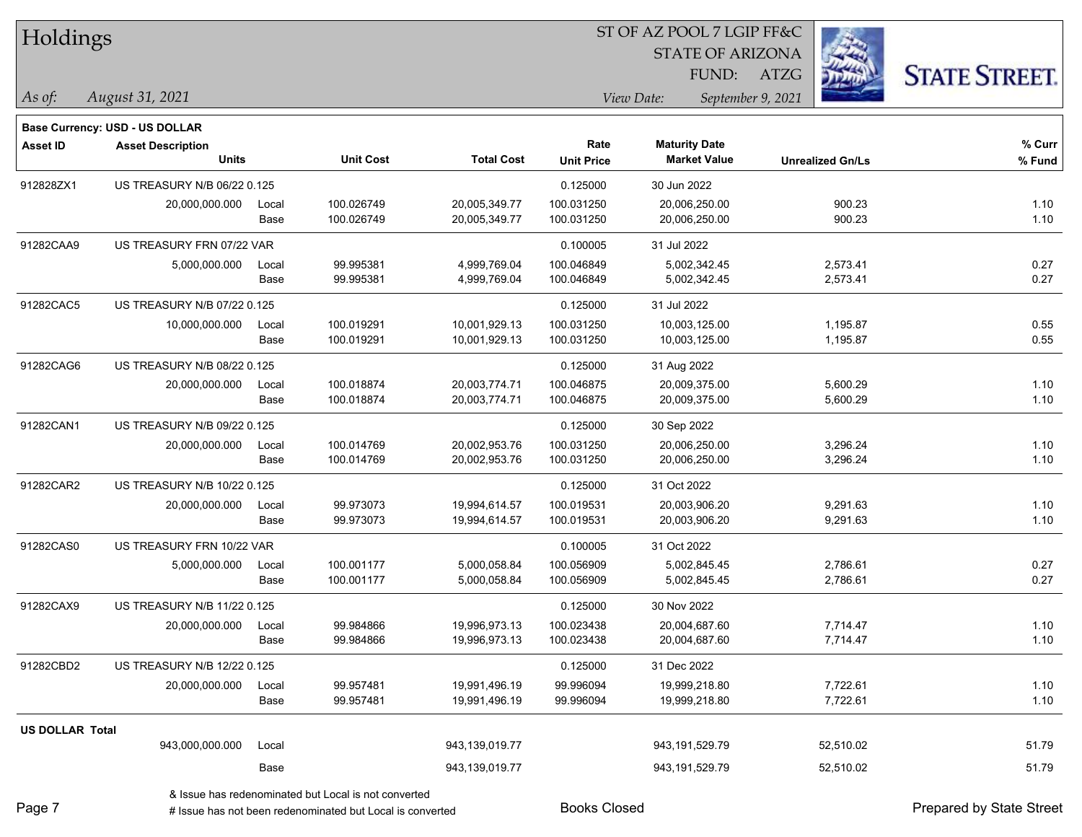| Holdings               |                                |       |                  |                   |                   | ST OF AZ POOL 7 LGIP FF&C |                         |                         |                      |  |
|------------------------|--------------------------------|-------|------------------|-------------------|-------------------|---------------------------|-------------------------|-------------------------|----------------------|--|
|                        |                                |       |                  |                   |                   |                           | <b>STATE OF ARIZONA</b> |                         |                      |  |
|                        |                                |       |                  |                   |                   | FUND:                     | <b>ATZG</b>             |                         | <b>STATE STREET.</b> |  |
| As of:                 | August 31, 2021                |       |                  |                   |                   | View Date:                | September 9, 2021       |                         |                      |  |
|                        | Base Currency: USD - US DOLLAR |       |                  |                   |                   |                           |                         |                         |                      |  |
| <b>Asset ID</b>        | <b>Asset Description</b>       |       |                  |                   | Rate              | <b>Maturity Date</b>      |                         |                         | % Curr               |  |
|                        | <b>Units</b>                   |       | <b>Unit Cost</b> | <b>Total Cost</b> | <b>Unit Price</b> | <b>Market Value</b>       |                         | <b>Unrealized Gn/Ls</b> | % Fund               |  |
| 912828ZX1              | US TREASURY N/B 06/22 0.125    |       |                  |                   | 0.125000          | 30 Jun 2022               |                         |                         |                      |  |
|                        | 20,000,000.000                 | Local | 100.026749       | 20,005,349.77     | 100.031250        | 20,006,250.00             |                         | 900.23                  | 1.10                 |  |
|                        |                                | Base  | 100.026749       | 20,005,349.77     | 100.031250        | 20,006,250.00             |                         | 900.23                  | 1.10                 |  |
| 91282CAA9              | US TREASURY FRN 07/22 VAR      |       |                  |                   | 0.100005          | 31 Jul 2022               |                         |                         |                      |  |
|                        | 5,000,000.000                  | Local | 99.995381        | 4,999,769.04      | 100.046849        | 5,002,342.45              |                         | 2,573.41                | 0.27                 |  |
|                        |                                | Base  | 99.995381        | 4,999,769.04      | 100.046849        | 5,002,342.45              |                         | 2,573.41                | 0.27                 |  |
| 91282CAC5              | US TREASURY N/B 07/22 0.125    |       |                  |                   | 0.125000          | 31 Jul 2022               |                         |                         |                      |  |
|                        | 10,000,000.000                 | Local | 100.019291       | 10,001,929.13     | 100.031250        | 10,003,125.00             |                         | 1,195.87                | 0.55                 |  |
|                        |                                | Base  | 100.019291       | 10,001,929.13     | 100.031250        | 10,003,125.00             |                         | 1,195.87                | 0.55                 |  |
| 91282CAG6              | US TREASURY N/B 08/22 0.125    |       |                  |                   | 0.125000          | 31 Aug 2022               |                         |                         |                      |  |
|                        | 20,000,000.000                 | Local | 100.018874       | 20,003,774.71     | 100.046875        | 20,009,375.00             |                         | 5,600.29                | 1.10                 |  |
|                        |                                | Base  | 100.018874       | 20,003,774.71     | 100.046875        | 20,009,375.00             |                         | 5,600.29                | 1.10                 |  |
| 91282CAN1              | US TREASURY N/B 09/22 0.125    |       |                  |                   | 0.125000          | 30 Sep 2022               |                         |                         |                      |  |
|                        | 20,000,000.000                 | Local | 100.014769       | 20,002,953.76     | 100.031250        | 20,006,250.00             |                         | 3,296.24                | 1.10                 |  |
|                        |                                | Base  | 100.014769       | 20,002,953.76     | 100.031250        | 20,006,250.00             |                         | 3,296.24                | 1.10                 |  |
| 91282CAR2              | US TREASURY N/B 10/22 0.125    |       |                  |                   | 0.125000          | 31 Oct 2022               |                         |                         |                      |  |
|                        | 20,000,000.000                 | Local | 99.973073        | 19,994,614.57     | 100.019531        | 20,003,906.20             |                         | 9,291.63                | 1.10                 |  |
|                        |                                | Base  | 99.973073        | 19,994,614.57     | 100.019531        | 20,003,906.20             |                         | 9,291.63                | 1.10                 |  |
| 91282CAS0              | US TREASURY FRN 10/22 VAR      |       |                  |                   | 0.100005          | 31 Oct 2022               |                         |                         |                      |  |
|                        | 5,000,000.000                  | Local | 100.001177       | 5,000,058.84      | 100.056909        | 5,002,845.45              |                         | 2,786.61                | 0.27                 |  |
|                        |                                | Base  | 100.001177       | 5,000,058.84      | 100.056909        | 5,002,845.45              |                         | 2,786.61                | 0.27                 |  |
| 91282CAX9              | US TREASURY N/B 11/22 0.125    |       |                  |                   | 0.125000          | 30 Nov 2022               |                         |                         |                      |  |
|                        | 20,000,000.000                 | Local | 99.984866        | 19,996,973.13     | 100.023438        | 20,004,687.60             |                         | 7,714.47                | 1.10                 |  |
|                        |                                | Base  | 99.984866        | 19,996,973.13     | 100.023438        | 20,004,687.60             |                         | 7,714.47                | 1.10                 |  |
| 91282CBD2              | US TREASURY N/B 12/22 0.125    |       |                  |                   | 0.125000          | 31 Dec 2022               |                         |                         |                      |  |
|                        | 20,000,000.000                 | Local | 99.957481        | 19,991,496.19     | 99.996094         | 19,999,218.80             |                         | 7,722.61                | 1.10                 |  |
|                        |                                | Base  | 99.957481        | 19,991,496.19     | 99.996094         | 19,999,218.80             |                         | 7,722.61                | 1.10                 |  |
| <b>US DOLLAR Total</b> |                                |       |                  |                   |                   |                           |                         |                         |                      |  |
|                        | 943,000,000.000                | Local |                  | 943,139,019.77    |                   | 943,191,529.79            |                         | 52,510.02               | 51.79                |  |
|                        |                                | Base  |                  | 943,139,019.77    |                   | 943, 191, 529. 79         |                         | 52,510.02               | 51.79                |  |
|                        |                                |       |                  |                   |                   |                           |                         |                         |                      |  |

& Issue has redenominated but Local is not converted

Page 7

# Issue has not been redenominated but Local is converted Books Closed Prepared by State Street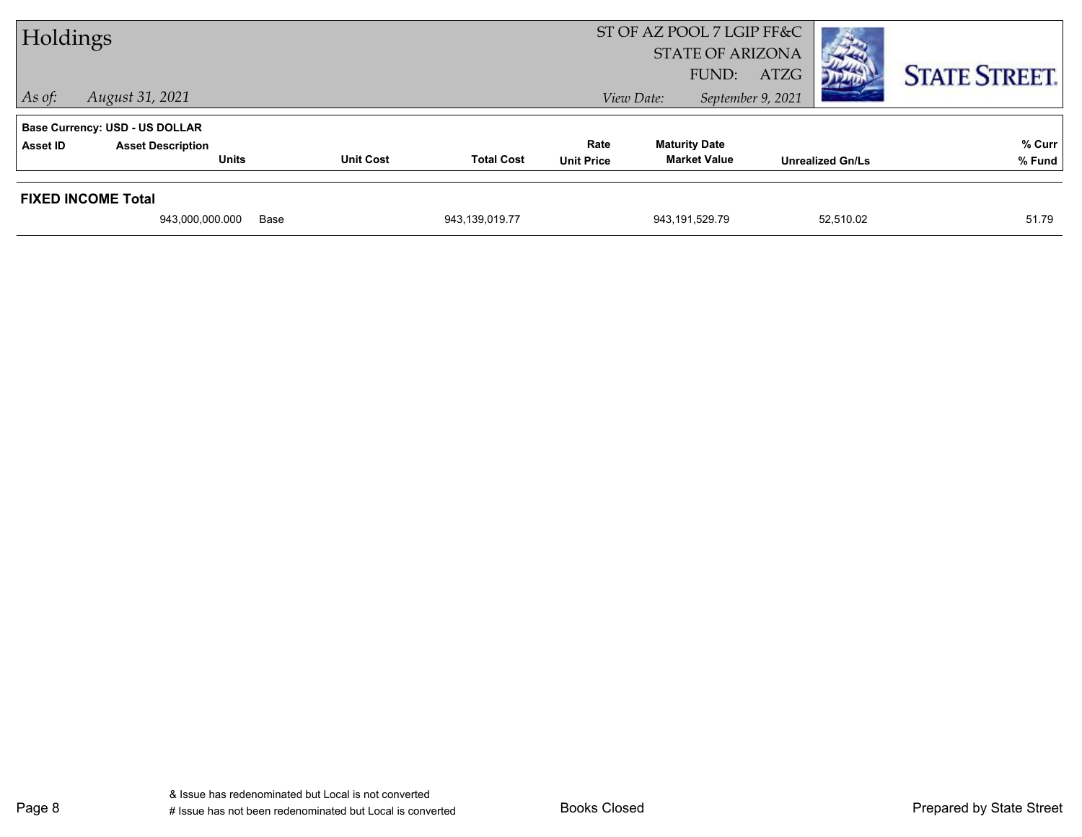| Holdings       |                                       |                  | ST OF AZ POOL 7 LGIP FF&C<br><b>STATE OF ARIZONA</b><br>FUND: | <b>CONTRACT</b><br>ATZG | <b>STATE STREET.</b> |                         |        |
|----------------|---------------------------------------|------------------|---------------------------------------------------------------|-------------------------|----------------------|-------------------------|--------|
| $\vert$ As of: | August 31, 2021                       |                  |                                                               |                         | View Date:           | September 9, 2021       |        |
|                | <b>Base Currency: USD - US DOLLAR</b> |                  |                                                               |                         |                      |                         |        |
| Asset ID       | <b>Asset Description</b>              |                  |                                                               | Rate                    | <b>Maturity Date</b> |                         | % Curr |
|                | <b>Units</b>                          | <b>Unit Cost</b> | <b>Total Cost</b>                                             | <b>Unit Price</b>       | <b>Market Value</b>  | <b>Unrealized Gn/Ls</b> | % Fund |
|                | <b>FIXED INCOME Total</b>             |                  |                                                               |                         |                      |                         |        |
|                | 943,000,000.000                       | Base             | 943,139,019.77                                                |                         | 943,191,529.79       | 52,510.02               | 51.79  |
|                |                                       |                  |                                                               |                         |                      |                         |        |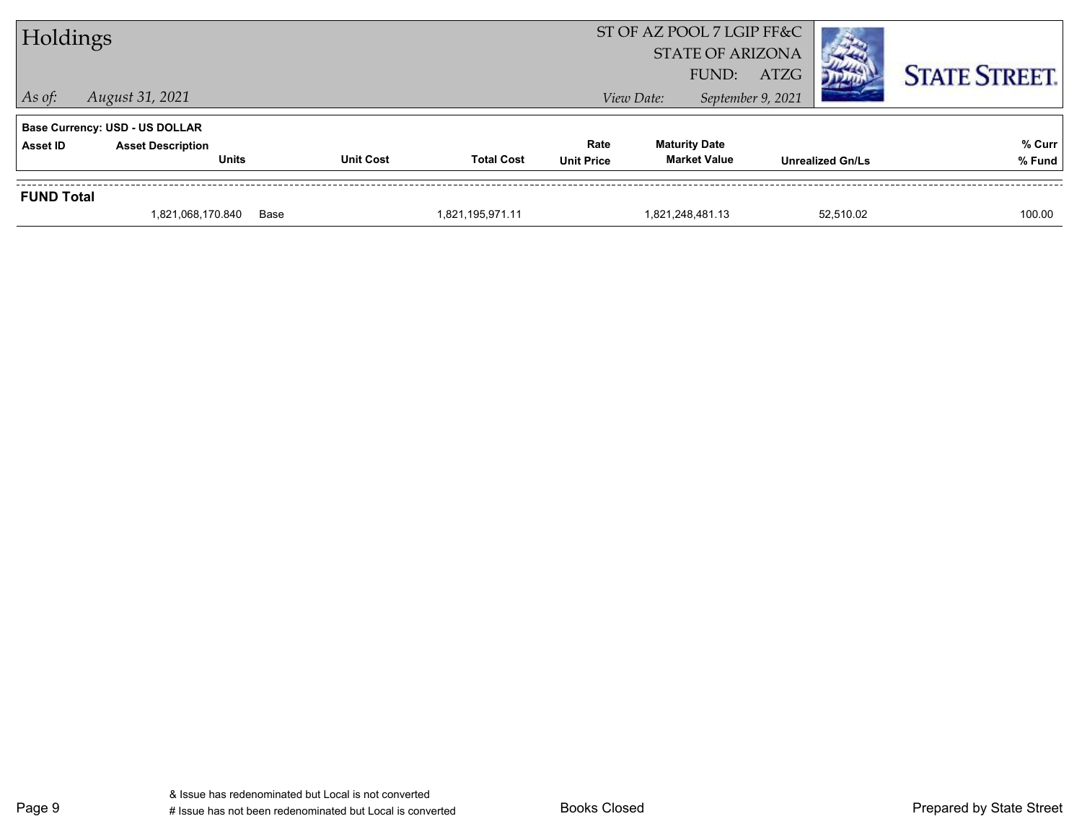| Holdings          |                                       |                  |                   |                   | ST OF AZ POOL 7 LGIP FF&C<br><b>STATE OF ARIZONA</b><br>FUND: | ATZG                    | <b>STATE STREET.</b> |
|-------------------|---------------------------------------|------------------|-------------------|-------------------|---------------------------------------------------------------|-------------------------|----------------------|
| $\vert$ As of:    | August 31, 2021                       |                  |                   |                   | View Date:                                                    | September 9, 2021       |                      |
|                   | <b>Base Currency: USD - US DOLLAR</b> |                  |                   |                   |                                                               |                         |                      |
| <b>Asset ID</b>   | <b>Asset Description</b>              |                  |                   | Rate              | <b>Maturity Date</b>                                          |                         | % Curr               |
|                   | <b>Units</b>                          | <b>Unit Cost</b> | <b>Total Cost</b> | <b>Unit Price</b> | <b>Market Value</b>                                           | <b>Unrealized Gn/Ls</b> | % Fund               |
| <b>FUND Total</b> |                                       |                  |                   |                   |                                                               |                         |                      |
|                   | 1,821,068,170.840                     | Base             | 1,821,195,971.11  |                   | 1,821,248,481.13                                              | 52.510.02               | 100.00               |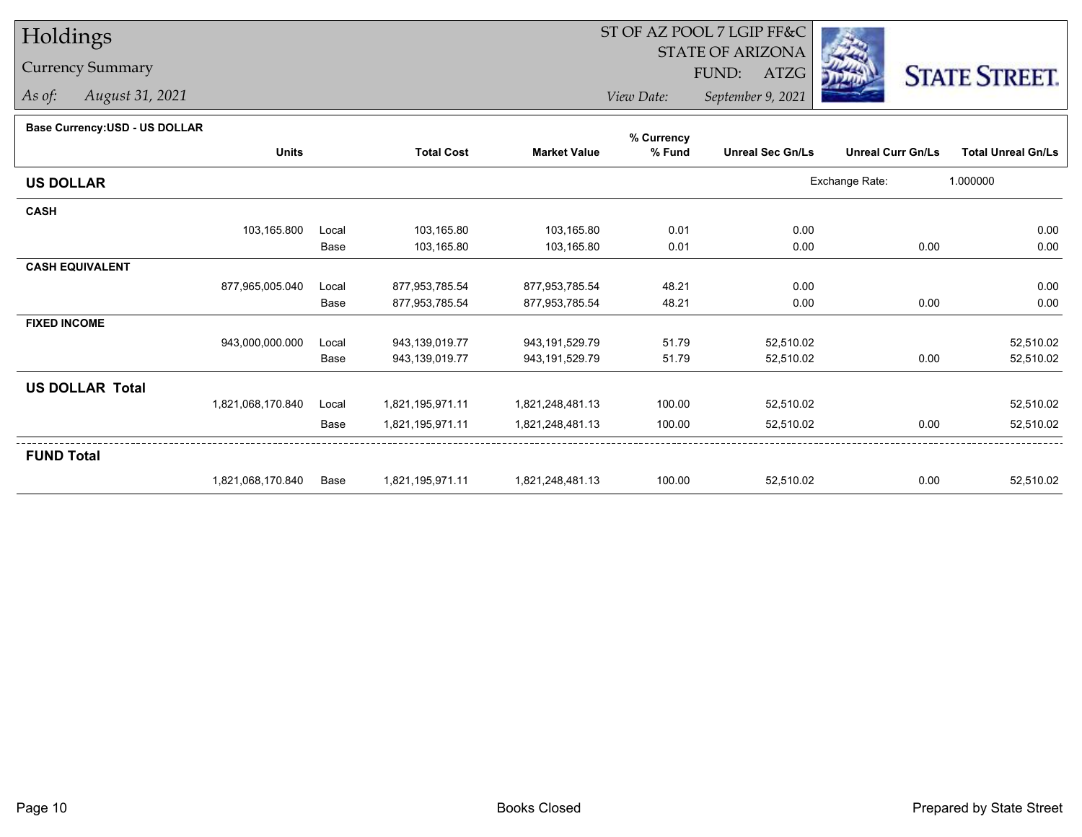# Holdings

### Currency Summary

*As of: August 31, 2021*

## ST OF AZ POOL 7 LGIP FF&C

STATE OF ARIZONA

FUND: ATZG



*View Date:September 9, 2021*

#### **Base Currency:USD - US DOLLAR**

|                        |                   |       |                   |                     | % Currency |                         |                          |                           |
|------------------------|-------------------|-------|-------------------|---------------------|------------|-------------------------|--------------------------|---------------------------|
|                        | <b>Units</b>      |       | <b>Total Cost</b> | <b>Market Value</b> | % Fund     | <b>Unreal Sec Gn/Ls</b> | <b>Unreal Curr Gn/Ls</b> | <b>Total Unreal Gn/Ls</b> |
| <b>US DOLLAR</b>       |                   |       |                   |                     |            |                         | Exchange Rate:           | 1.000000                  |
| <b>CASH</b>            |                   |       |                   |                     |            |                         |                          |                           |
|                        | 103,165.800       | Local | 103,165.80        | 103,165.80          | 0.01       | 0.00                    |                          | 0.00                      |
|                        |                   | Base  | 103,165.80        | 103,165.80          | 0.01       | 0.00                    | 0.00                     | 0.00                      |
| <b>CASH EQUIVALENT</b> |                   |       |                   |                     |            |                         |                          |                           |
|                        | 877,965,005.040   | Local | 877,953,785.54    | 877,953,785.54      | 48.21      | 0.00                    |                          | 0.00                      |
|                        |                   | Base  | 877,953,785.54    | 877,953,785.54      | 48.21      | 0.00                    | 0.00                     | 0.00                      |
| <b>FIXED INCOME</b>    |                   |       |                   |                     |            |                         |                          |                           |
|                        | 943,000,000.000   | Local | 943,139,019.77    | 943,191,529.79      | 51.79      | 52,510.02               |                          | 52,510.02                 |
|                        |                   | Base  | 943,139,019.77    | 943, 191, 529. 79   | 51.79      | 52,510.02               | 0.00                     | 52,510.02                 |
| <b>US DOLLAR Total</b> |                   |       |                   |                     |            |                         |                          |                           |
|                        | 1,821,068,170.840 | Local | 1,821,195,971.11  | 1,821,248,481.13    | 100.00     | 52,510.02               |                          | 52,510.02                 |
|                        |                   | Base  | 1,821,195,971.11  | 1,821,248,481.13    | 100.00     | 52,510.02               | 0.00                     | 52,510.02                 |
| <b>FUND Total</b>      |                   |       |                   |                     |            |                         |                          |                           |
|                        | 1,821,068,170.840 | Base  | 1,821,195,971.11  | 1,821,248,481.13    | 100.00     | 52,510.02               | 0.00                     | 52,510.02                 |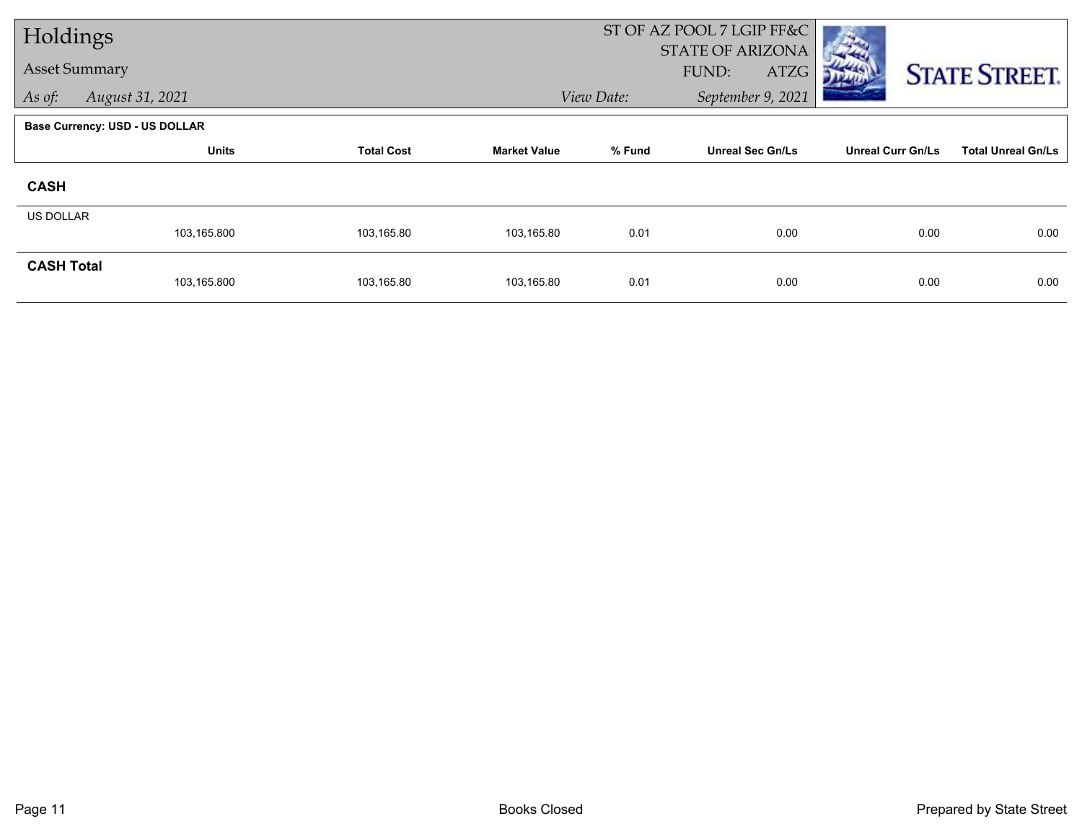| Holdings             |                                       |                   |                     | ST OF AZ POOL 7 LGIP FF&C |                                          |                          |                           |
|----------------------|---------------------------------------|-------------------|---------------------|---------------------------|------------------------------------------|--------------------------|---------------------------|
| <b>Asset Summary</b> |                                       |                   |                     |                           | <b>STATE OF ARIZONA</b><br>FUND:<br>ATZG |                          |                           |
| As of:               | August 31, 2021                       |                   |                     | View Date:                | September 9, 2021                        |                          | <b>STATE STREET.</b>      |
|                      |                                       |                   |                     |                           |                                          |                          |                           |
|                      | <b>Base Currency: USD - US DOLLAR</b> |                   |                     |                           |                                          |                          |                           |
|                      | <b>Units</b>                          | <b>Total Cost</b> | <b>Market Value</b> | % Fund                    | <b>Unreal Sec Gn/Ls</b>                  | <b>Unreal Curr Gn/Ls</b> | <b>Total Unreal Gn/Ls</b> |
| <b>CASH</b>          |                                       |                   |                     |                           |                                          |                          |                           |
| <b>US DOLLAR</b>     |                                       |                   |                     |                           |                                          |                          |                           |
|                      | 103,165.800                           | 103,165.80        | 103,165.80          | 0.01                      | 0.00                                     | 0.00                     | 0.00                      |
| <b>CASH Total</b>    |                                       |                   |                     |                           |                                          |                          |                           |
|                      | 103,165.800                           | 103,165.80        | 103,165.80          | 0.01                      | 0.00                                     | 0.00                     | 0.00                      |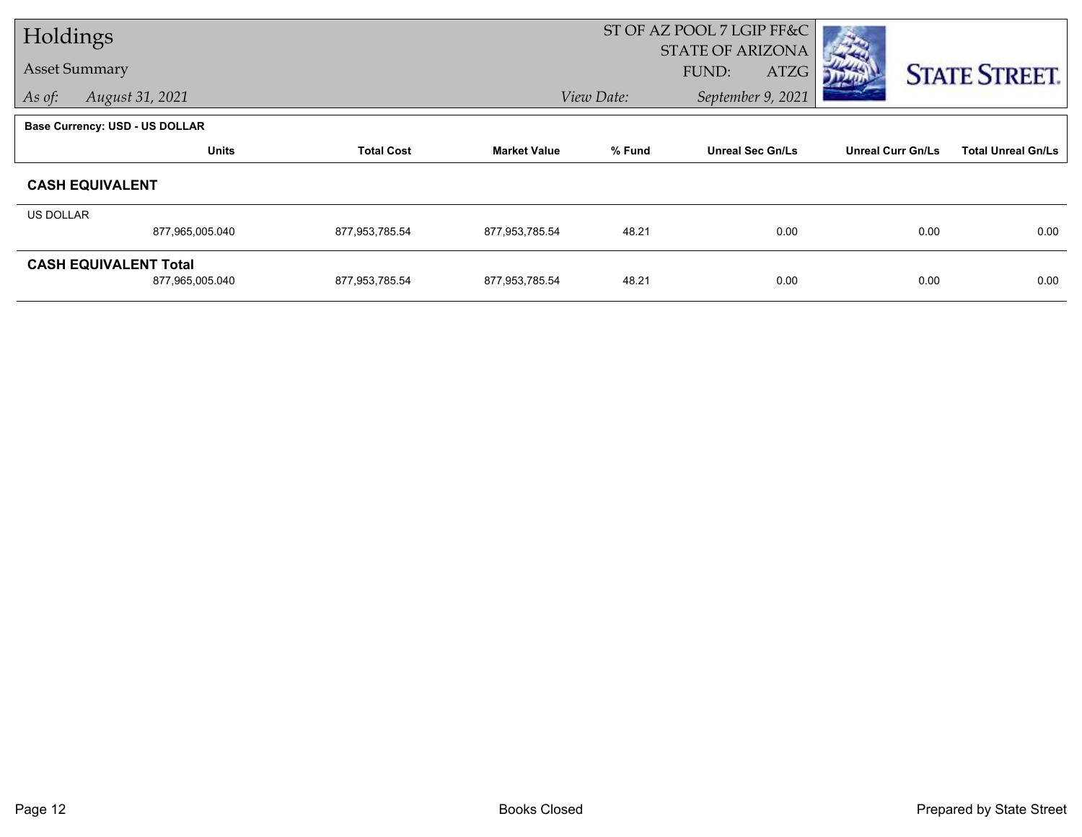| Holdings                              |                 |                   |                     |            | ST OF AZ POOL 7 LGIP FF&C |                          |                           |
|---------------------------------------|-----------------|-------------------|---------------------|------------|---------------------------|--------------------------|---------------------------|
|                                       |                 |                   |                     |            | <b>STATE OF ARIZONA</b>   |                          |                           |
| <b>Asset Summary</b>                  |                 |                   |                     |            | FUND:<br>ATZG             |                          | <b>STATE STREET.</b>      |
| As of:                                | August 31, 2021 |                   |                     | View Date: | September 9, 2021         |                          |                           |
| <b>Base Currency: USD - US DOLLAR</b> |                 |                   |                     |            |                           |                          |                           |
|                                       | <b>Units</b>    | <b>Total Cost</b> | <b>Market Value</b> | % Fund     | <b>Unreal Sec Gn/Ls</b>   | <b>Unreal Curr Gn/Ls</b> | <b>Total Unreal Gn/Ls</b> |
| <b>CASH EQUIVALENT</b>                |                 |                   |                     |            |                           |                          |                           |
| US DOLLAR                             |                 |                   |                     |            |                           |                          |                           |
|                                       | 877,965,005.040 | 877,953,785.54    | 877,953,785.54      | 48.21      | 0.00                      | 0.00                     | 0.00                      |
| <b>CASH EQUIVALENT Total</b>          |                 |                   |                     |            |                           |                          |                           |
|                                       | 877,965,005.040 | 877,953,785.54    | 877,953,785.54      | 48.21      | 0.00                      | 0.00                     | 0.00                      |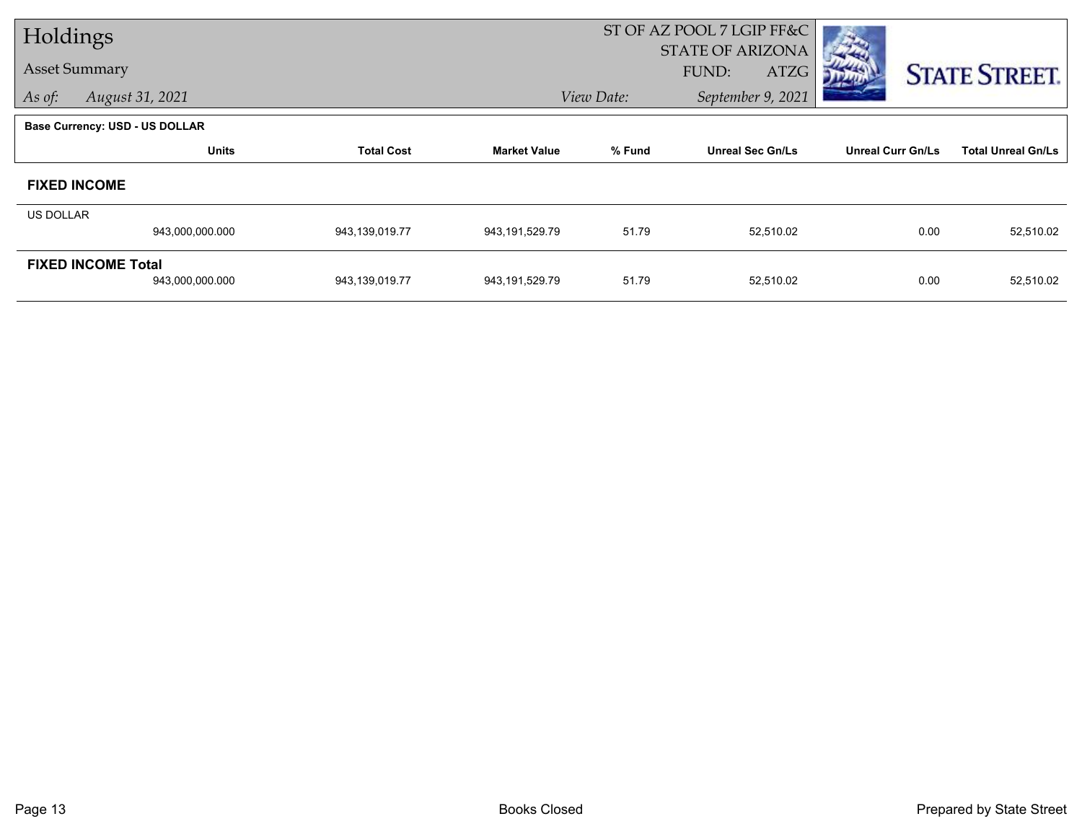| Holdings         |                                       |                   |                     | ST OF AZ POOL 7 LGIP FF&C |                         |                          |                           |
|------------------|---------------------------------------|-------------------|---------------------|---------------------------|-------------------------|--------------------------|---------------------------|
|                  |                                       |                   |                     |                           | <b>STATE OF ARIZONA</b> |                          |                           |
|                  | <b>Asset Summary</b>                  |                   |                     |                           | FUND:<br>ATZG           |                          | <b>STATE STREET.</b>      |
| As of:           | August 31, 2021                       |                   |                     | View Date:                | September 9, 2021       |                          |                           |
|                  | <b>Base Currency: USD - US DOLLAR</b> |                   |                     |                           |                         |                          |                           |
|                  | <b>Units</b>                          | <b>Total Cost</b> | <b>Market Value</b> | % Fund                    | <b>Unreal Sec Gn/Ls</b> | <b>Unreal Curr Gn/Ls</b> | <b>Total Unreal Gn/Ls</b> |
|                  | <b>FIXED INCOME</b>                   |                   |                     |                           |                         |                          |                           |
| <b>US DOLLAR</b> |                                       |                   |                     |                           |                         |                          |                           |
|                  | 943,000,000.000                       | 943,139,019.77    | 943, 191, 529. 79   | 51.79                     | 52,510.02               | 0.00                     | 52,510.02                 |
|                  | <b>FIXED INCOME Total</b>             |                   |                     |                           |                         |                          |                           |
|                  | 943,000,000.000                       | 943,139,019.77    | 943, 191, 529. 79   | 51.79                     | 52,510.02               | 0.00                     | 52,510.02                 |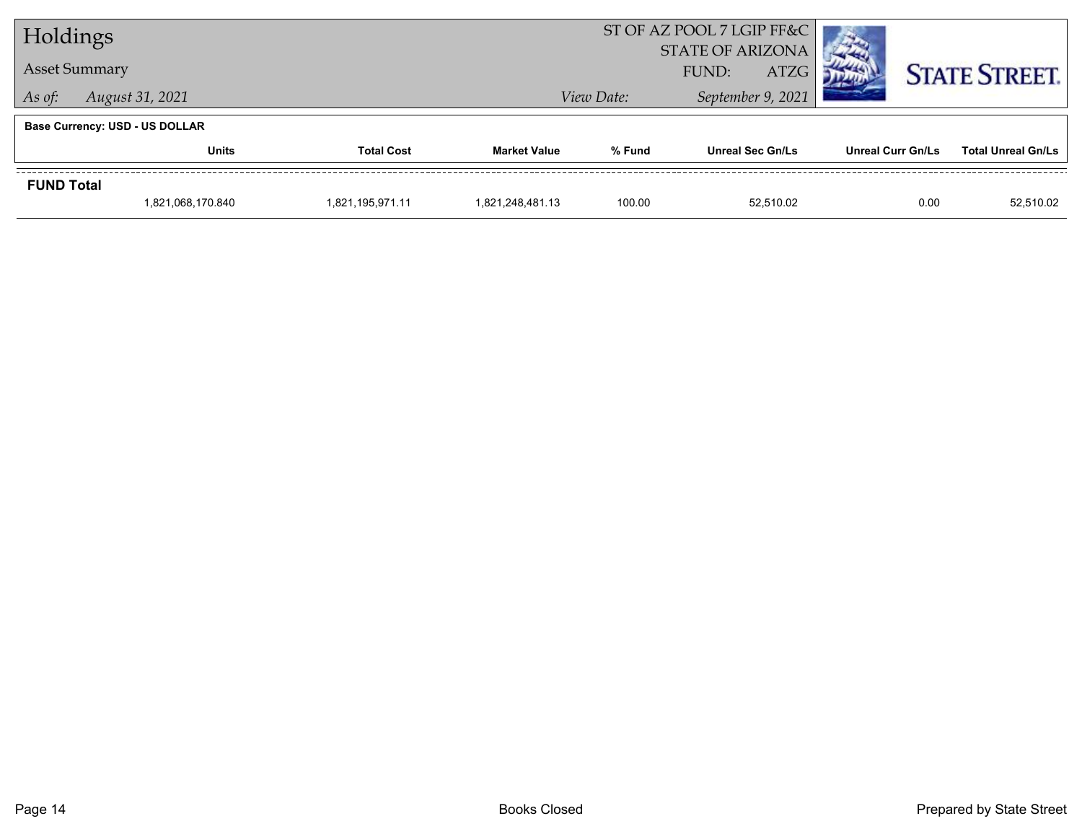| Holdings                  |                                       |                  |                     | ST OF AZ POOL 7 LGIP FF&C                       |                         |                          |                           |
|---------------------------|---------------------------------------|------------------|---------------------|-------------------------------------------------|-------------------------|--------------------------|---------------------------|
| <b>Asset Summary</b>      |                                       |                  |                     | <b>STATE OF ARIZONA</b><br><b>ATZG</b><br>FUND: |                         |                          | <b>STATE STREET.</b>      |
| August 31, 2021<br>As of: |                                       |                  |                     | View Date:                                      |                         |                          |                           |
|                           | <b>Base Currency: USD - US DOLLAR</b> |                  |                     |                                                 |                         |                          |                           |
|                           | <b>Units</b><br><b>Total Cost</b>     |                  | <b>Market Value</b> | % Fund                                          | <b>Unreal Sec Gn/Ls</b> | <b>Unreal Curr Gn/Ls</b> | <b>Total Unreal Gn/Ls</b> |
| <b>FUND Total</b>         |                                       |                  |                     |                                                 |                         |                          |                           |
|                           | 1,821,068,170.840                     | 1,821,195,971.11 | 1,821,248,481.13    | 100.00                                          | 52.510.02               | 0.00                     | 52,510.02                 |